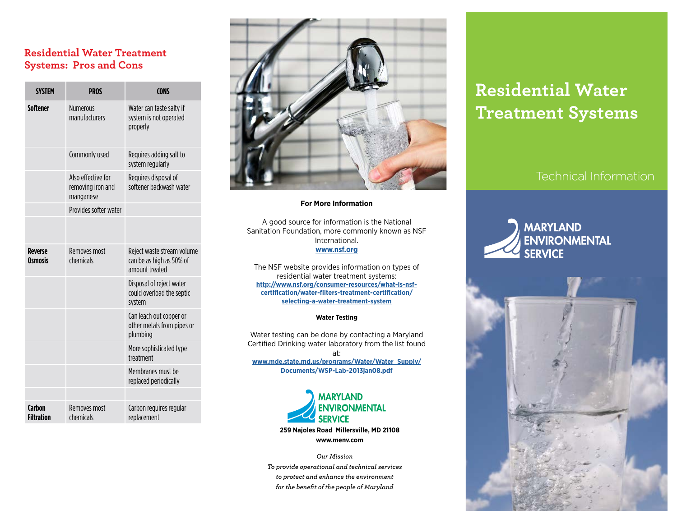## **Residential Water Treatment Systems: Pros and Cons**

| <b>SYSTEM</b>                    | <b>PROS</b>                                          | <b>CONS</b>                                                              |
|----------------------------------|------------------------------------------------------|--------------------------------------------------------------------------|
| <b>Softener</b>                  | <b>Numerous</b><br>manufacturers                     | Water can taste salty if<br>system is not operated<br>properly           |
|                                  | Commonly used                                        | Requires adding salt to<br>system regularly                              |
|                                  | Also effective for<br>removing iron and<br>manganese | Requires disposal of<br>softener backwash water                          |
|                                  | Provides softer water                                |                                                                          |
|                                  |                                                      |                                                                          |
| <b>Reverse</b><br><b>Osmosis</b> | Removes most<br>chemicals                            | Reject waste stream volume<br>can be as high as 50% of<br>amount treated |
|                                  |                                                      | Disposal of reject water<br>could overload the septic<br>system          |
|                                  |                                                      | Can leach out copper or<br>other metals from pipes or<br>plumbing        |
|                                  |                                                      | More sophisticated type<br>treatment                                     |
|                                  |                                                      | Membranes must be<br>replaced periodically                               |
|                                  |                                                      |                                                                          |
| Carbon<br><b>Filtration</b>      | Removes most<br>chemicals                            | Carbon requires regular<br>replacement                                   |



#### **For More Information**

A good source for information is the National Sanitation Foundation, more commonly known as NSF International.

#### **[www.nsf.org](http://www.nsf.org )**

The NSF website provides information on types of residential water treatment systems: **[http://www.nsf.org/consumer-resources/what-is-nsf](http://www.nsf.org/consumer-resources/what-is-nsf-certification/water-filters-treatment-certificatio)[certification/water-filters-treatment-certification/](http://www.nsf.org/consumer-resources/what-is-nsf-certification/water-filters-treatment-certificatio) [selecting-a-water-treatment-system](http://www.nsf.org/consumer-resources/what-is-nsf-certification/water-filters-treatment-certificatio)**

#### **Water Testing**

Water testing can be done by contacting a Maryland Certified Drinking water laboratory from the list found at: **[www.mde.state.md.us/programs/Water/Water\\_Supply/](http://www.mde.state.md.us/programs/Water/Water_Supply/Documents/WSP-Lab-2013jan08.pdf  ) [Documents/WSP-Lab-2013jan08.pdf](http://www.mde.state.md.us/programs/Water/Water_Supply/Documents/WSP-Lab-2013jan08.pdf  )**



*Our Mission To provide operational and technical services to protect and enhance the environment for the benefit of the people of Maryland* 

# **Residential Water Treatment Systems**

# Technical Information

# **MARYLAND** ENVIRONMENTAL **SERVICE**